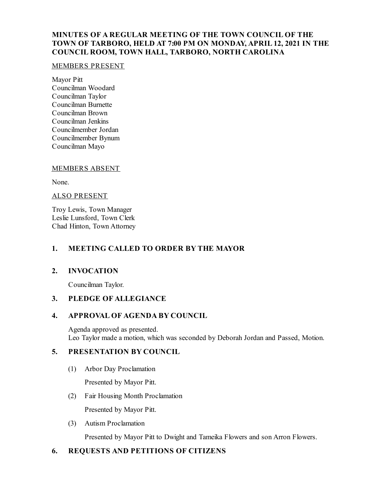# **MINUTES OF A REGULAR MEETING OF THE TOWN COUNCIL OF THE TOWN OF TARBORO, HELD AT 7:00 PM ON MONDAY, APRIL 12, 2021 IN THE COUNCIL ROOM, TOWN HALL, TARBORO, NORTH CAROLINA**

#### MEMBERS PRESENT

Mayor Pitt Councilman Woodard Councilman Taylor Councilman Burnette Councilman Brown Councilman Jenkins Councilmember Jordan Councilmember Bynum Councilman Mayo

# MEMBERS ABSENT

None.

### ALSO PRESENT

Troy Lewis, Town Manager Leslie Lunsford, Town Clerk Chad Hinton, Town Attorney

### **1. MEETING CALLED TO ORDER BY THE MAYOR**

# **2. INVOCATION**

Councilman Taylor.

# **3. PLEDGE OF ALLEGIANCE**

# **4. APPROVAL OF AGENDA BY COUNCIL**

Agenda approved as presented. Leo Taylor made a motion, which was seconded by Deborah Jordan and Passed, Motion.

# **5. PRESENTATION BY COUNCIL**

(1) Arbor Day Proclamation

Presented by Mayor Pitt.

(2) Fair Housing Month Proclamation

Presented by Mayor Pitt.

(3) Autism Proclamation

Presented by Mayor Pitt to Dwight and Tameika Flowers and son Arron Flowers.

# **6. REQUESTS AND PETITIONS OF CITIZENS**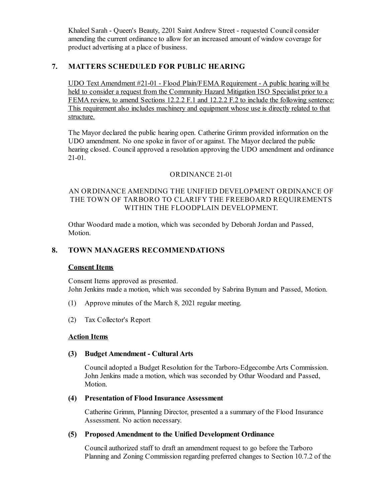Khaleel Sarah - Queen's Beauty, 2201 Saint Andrew Street - requested Councilconsider amending the current ordinance to allow for an increased amount of window coverage for product advertising at a place of business.

# **7. MATTERS SCHEDULED FOR PUBLIC HEARING**

UDO Text Amendment #21-01 - Flood Plain/FEMA Requirement - A public hearing will be held to consider a request from the Community Hazard Mitigation ISO Specialist prior to a FEMA review, to amend Sections 12.2.2 F.1 and 12.2.2 F.2 to include the following sentence: This requirement also includes machinery and equipment whose use is directly related to that structure.

The Mayor declared the public hearing open. Catherine Grimm provided information on the UDO amendment. No one spoke in favor of or against. The Mayor declared the public hearing closed. Council approved a resolution approving the UDO amendment and ordinance 21-01.

### ORDINANCE 21-01

### AN ORDINANCE AMENDING THE UNIFIED DEVELOPMENT ORDINANCE OF THE TOWN OF TARBORO TO CLARIFY THE FREEBOARD REQUIREMENTS WITHIN THE FLOODPLAIN DEVELOPMENT.

Othar Woodard made a motion, which was seconded by Deborah Jordan and Passed, Motion.

### **8. TOWN MANAGERS RECOMMENDATIONS**

#### **Consent Items**

Consent Items approved as presented. John Jenkins made a motion, which was seconded by Sabrina Bynum and Passed, Motion.

- (1) Approve minutes of the March 8, 2021 regular meeting.
- (2) Tax Collector's Report

#### **Action Items**

#### **(3) Budget Amendment - Cultural Arts**

Counciladopted a Budget Resolution for the Tarboro-Edgecombe Arts Commission. John Jenkins made a motion, which was seconded by Othar Woodard and Passed, Motion.

#### **(4) Presentation of Flood Insurance Assessment**

Catherine Grimm, Planning Director, presented a a summary of the Flood Insurance Assessment. No action necessary.

#### **(5) ProposedAmendment to the Unified Development Ordinance**

Councilauthorized staff to draft an amendment request to go before the Tarboro Planning and Zoning Commission regarding preferred changes to Section 10.7.2 of the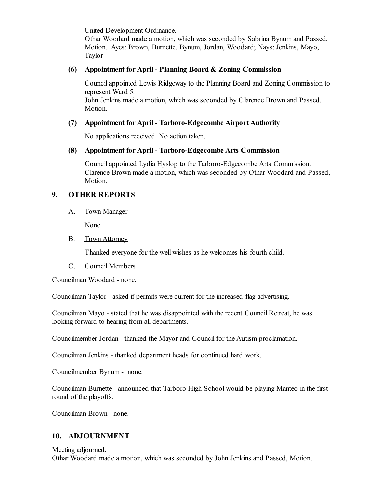United Development Ordinance. Othar Woodard made a motion, which was seconded by Sabrina Bynum and Passed, Motion. Ayes: Brown, Burnette, Bynum, Jordan, Woodard; Nays: Jenkins, Mayo, Taylor

### **(6) Appointment for April - Planning Board & Zoning Commission**

Councilappointed Lewis Ridgeway to the Planning Board and Zoning Commission to represent Ward 5. John Jenkins made a motion, which was seconded by Clarence Brown and Passed,

Motion.

### **(7) Appointment for April - Tarboro-Edgecombe Airport Authority**

No applications received. No action taken.

### **(8) Appointment for April - Tarboro-Edgecombe Arts Commission**

Councilappointed Lydia Hyslop to the Tarboro-Edgecombe Arts Commission. Clarence Brown made a motion, which was seconded by Othar Woodard and Passed, Motion.

# **9. OTHER REPORTS**

A. Town Manager

None.

B. Town Attorney

Thanked everyone for the well wishes as he welcomes his fourth child.

C. Council Members

Councilman Woodard - none.

Councilman Taylor - asked if permits were current for the increased flag advertising.

Councilman Mayo - stated that he was disappointed with the recent Council Retreat, he was looking forward to hearing from all departments.

Councilmember Jordan - thanked the Mayor and Council for the Autism proclamation.

Councilman Jenkins - thanked department heads for continued hard work.

Councilmember Bynum - none.

Councilman Burnette - announced that Tarboro High School would be playing Manteo in the first round of the playoffs.

Councilman Brown - none.

# **10. ADJOURNMENT**

Meeting adjourned.

Othar Woodard made a motion, which was seconded by John Jenkins and Passed, Motion.